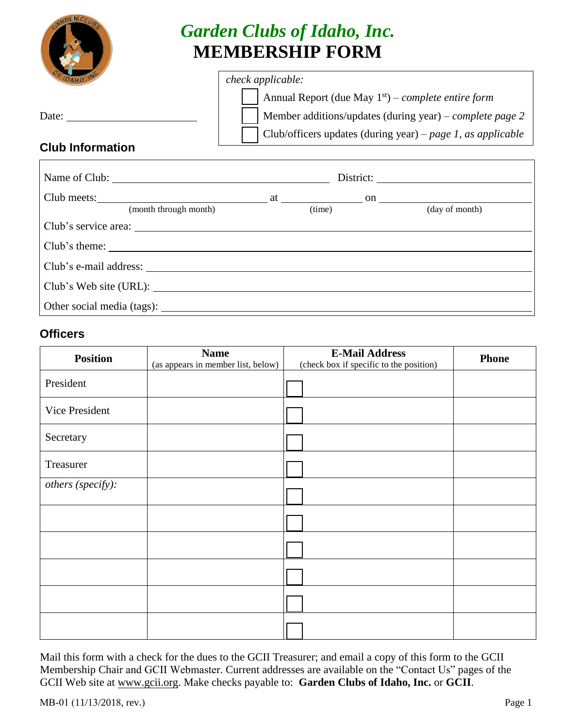

# *Garden Clubs of Idaho, Inc.*  **MEMBERSHIP FORM**

## *check applicable:*

|                                                | Annual Report (due May $1st$ ) – complete entire form       |
|------------------------------------------------|-------------------------------------------------------------|
| Date:                                          | Member additions/updates (during year) – complete page 2    |
|                                                | Club/officers updates (during year) – page 1, as applicable |
| $\bigcap  \bigcup  \bigcap  \bigcap  \bigcap $ |                                                             |

### **Club Information**

| Club meets: $\qquad \qquad \text{at } \qquad \qquad \text{on } \qquad \qquad$ |       |                |  |
|-------------------------------------------------------------------------------|-------|----------------|--|
| (month through month)                                                         | time) | (day of month) |  |
|                                                                               |       |                |  |
| Club's theme:                                                                 |       |                |  |
| Club's e-mail address:                                                        |       |                |  |
|                                                                               |       |                |  |
|                                                                               |       |                |  |

#### **Officers**

| <b>Position</b>   | <b>Name</b><br>(as appears in member list, below) | <b>E-Mail Address</b><br>(check box if specific to the position) | <b>Phone</b> |
|-------------------|---------------------------------------------------|------------------------------------------------------------------|--------------|
| President         |                                                   |                                                                  |              |
| Vice President    |                                                   |                                                                  |              |
| Secretary         |                                                   |                                                                  |              |
| Treasurer         |                                                   |                                                                  |              |
| others (specify): |                                                   |                                                                  |              |
|                   |                                                   |                                                                  |              |
|                   |                                                   |                                                                  |              |
|                   |                                                   |                                                                  |              |
|                   |                                                   |                                                                  |              |
|                   |                                                   |                                                                  |              |

Mail this form with a check for the dues to the GCII Treasurer; and email a copy of this form to the GCII Membership Chair and GCII Webmaster. Current addresses are available on the "Contact Us" pages of the [GCII Web](http://www.gcii.org/) site at www.gcii.org. Make checks payable to: **Garden Clubs of Idaho, Inc.** or **GCII**.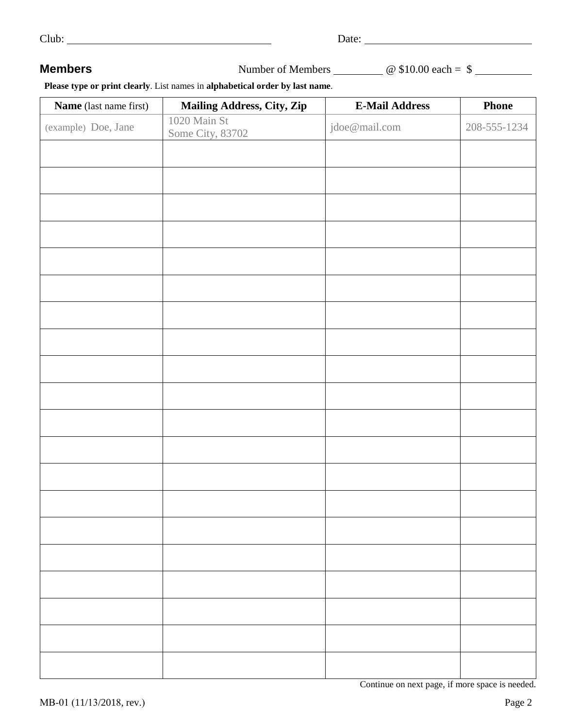| $\sim$ |  |
|--------|--|
|        |  |

**Members** Number of Members **and Allie Contract Automobile Superior**  $\omega$  \$10.00 each = \$

 **Please type or print clearly**. List names in **alphabetical order by last name**.

| Name (last name first) | Mailing Address, City, Zip       | <b>E-Mail Address</b>                           | <b>Phone</b> |
|------------------------|----------------------------------|-------------------------------------------------|--------------|
| (example) Doe, Jane    | 1020 Main St<br>Some City, 83702 | jdoe@mail.com                                   | 208-555-1234 |
|                        |                                  |                                                 |              |
|                        |                                  |                                                 |              |
|                        |                                  |                                                 |              |
|                        |                                  |                                                 |              |
|                        |                                  |                                                 |              |
|                        |                                  |                                                 |              |
|                        |                                  |                                                 |              |
|                        |                                  |                                                 |              |
|                        |                                  |                                                 |              |
|                        |                                  |                                                 |              |
|                        |                                  |                                                 |              |
|                        |                                  |                                                 |              |
|                        |                                  |                                                 |              |
|                        |                                  |                                                 |              |
|                        |                                  |                                                 |              |
|                        |                                  |                                                 |              |
|                        |                                  |                                                 |              |
|                        |                                  |                                                 |              |
|                        |                                  |                                                 |              |
|                        |                                  |                                                 |              |
|                        |                                  |                                                 |              |
|                        |                                  |                                                 |              |
|                        |                                  | Continue on next page, if more space is needed. |              |